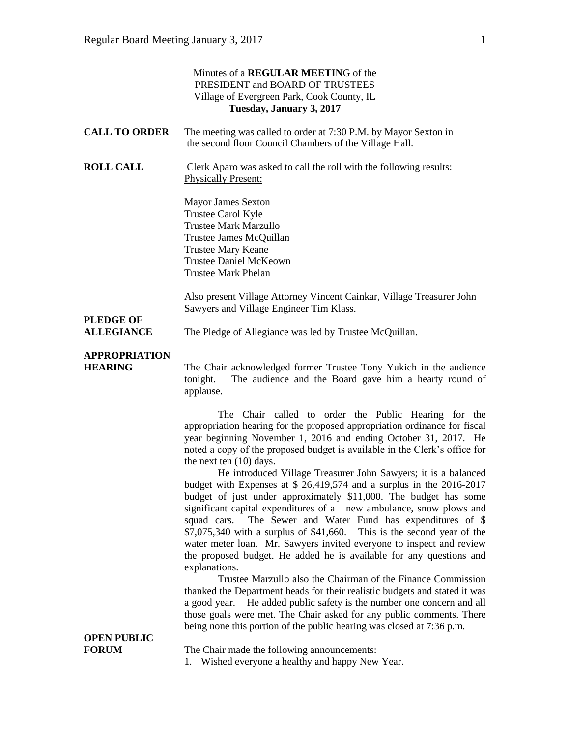|                                        | Minutes of a REGULAR MEETING of the<br>PRESIDENT and BOARD OF TRUSTEES<br>Village of Evergreen Park, Cook County, IL<br>Tuesday, January 3, 2017                                                                                                                                                                                                                                                                                                                                                                                                                                               |
|----------------------------------------|------------------------------------------------------------------------------------------------------------------------------------------------------------------------------------------------------------------------------------------------------------------------------------------------------------------------------------------------------------------------------------------------------------------------------------------------------------------------------------------------------------------------------------------------------------------------------------------------|
| <b>CALL TO ORDER</b>                   | The meeting was called to order at 7:30 P.M. by Mayor Sexton in<br>the second floor Council Chambers of the Village Hall.                                                                                                                                                                                                                                                                                                                                                                                                                                                                      |
| <b>ROLL CALL</b>                       | Clerk Aparo was asked to call the roll with the following results:<br><b>Physically Present:</b>                                                                                                                                                                                                                                                                                                                                                                                                                                                                                               |
|                                        | <b>Mayor James Sexton</b><br>Trustee Carol Kyle<br><b>Trustee Mark Marzullo</b><br>Trustee James McQuillan<br><b>Trustee Mary Keane</b><br><b>Trustee Daniel McKeown</b><br><b>Trustee Mark Phelan</b>                                                                                                                                                                                                                                                                                                                                                                                         |
| <b>PLEDGE OF</b><br><b>ALLEGIANCE</b>  | Also present Village Attorney Vincent Cainkar, Village Treasurer John<br>Sawyers and Village Engineer Tim Klass.<br>The Pledge of Allegiance was led by Trustee McQuillan.                                                                                                                                                                                                                                                                                                                                                                                                                     |
| <b>APPROPRIATION</b><br><b>HEARING</b> | The Chair acknowledged former Trustee Tony Yukich in the audience<br>The audience and the Board gave him a hearty round of<br>tonight.<br>applause.                                                                                                                                                                                                                                                                                                                                                                                                                                            |
|                                        | The Chair called to order the Public Hearing for the<br>appropriation hearing for the proposed appropriation ordinance for fiscal<br>year beginning November 1, 2016 and ending October 31, 2017. He<br>noted a copy of the proposed budget is available in the Clerk's office for<br>the next ten $(10)$ days.                                                                                                                                                                                                                                                                                |
|                                        | He introduced Village Treasurer John Sawyers; it is a balanced<br>budget with Expenses at \$ 26,419,574 and a surplus in the 2016-2017<br>budget of just under approximately \$11,000. The budget has some<br>significant capital expenditures of a new ambulance, snow plows and<br>The Sewer and Water Fund has expenditures of \$<br>squad cars.<br>$$7,075,340$ with a surplus of \$41,660. This is the second year of the<br>water meter loan. Mr. Sawyers invited everyone to inspect and review<br>the proposed budget. He added he is available for any questions and<br>explanations. |
| <b>OPEN PUBLIC</b><br><b>FORUM</b>     | Trustee Marzullo also the Chairman of the Finance Commission<br>thanked the Department heads for their realistic budgets and stated it was<br>a good year. He added public safety is the number one concern and all<br>those goals were met. The Chair asked for any public comments. There<br>being none this portion of the public hearing was closed at 7:36 p.m.                                                                                                                                                                                                                           |
|                                        | The Chair made the following announcements:<br>1. Wished everyone a healthy and happy New Year.                                                                                                                                                                                                                                                                                                                                                                                                                                                                                                |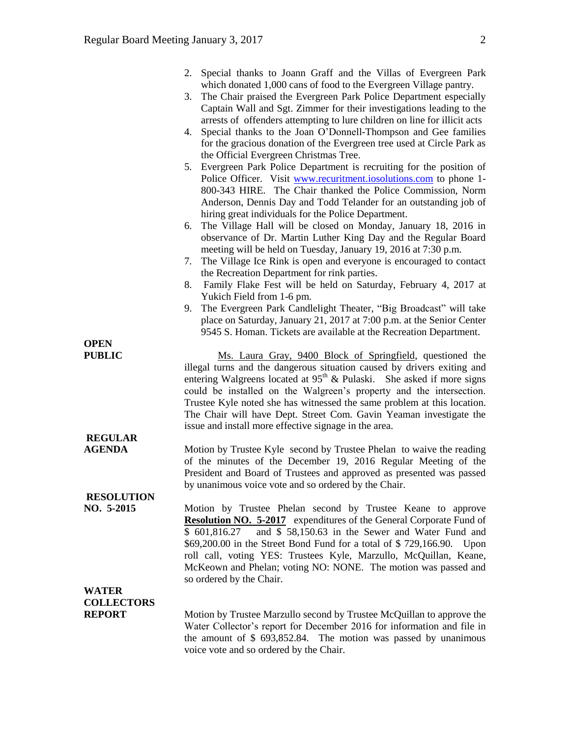|                                                    | 2. Special thanks to Joann Graff and the Villas of Evergreen Park<br>which donated 1,000 cans of food to the Evergreen Village pantry.<br>The Chair praised the Evergreen Park Police Department especially<br>3.<br>Captain Wall and Sgt. Zimmer for their investigations leading to the<br>arrests of offenders attempting to lure children on line for illicit acts<br>Special thanks to the Joan O'Donnell-Thompson and Gee families<br>4.<br>for the gracious donation of the Evergreen tree used at Circle Park as<br>the Official Evergreen Christmas Tree.<br>5. Evergreen Park Police Department is recruiting for the position of<br>Police Officer. Visit www.recuritment.iosolutions.com to phone 1-<br>800-343 HIRE. The Chair thanked the Police Commission, Norm<br>Anderson, Dennis Day and Todd Telander for an outstanding job of<br>hiring great individuals for the Police Department.<br>The Village Hall will be closed on Monday, January 18, 2016 in<br>6.<br>observance of Dr. Martin Luther King Day and the Regular Board<br>meeting will be held on Tuesday, January 19, 2016 at 7:30 p.m. |
|----------------------------------------------------|------------------------------------------------------------------------------------------------------------------------------------------------------------------------------------------------------------------------------------------------------------------------------------------------------------------------------------------------------------------------------------------------------------------------------------------------------------------------------------------------------------------------------------------------------------------------------------------------------------------------------------------------------------------------------------------------------------------------------------------------------------------------------------------------------------------------------------------------------------------------------------------------------------------------------------------------------------------------------------------------------------------------------------------------------------------------------------------------------------------------|
|                                                    | The Village Ice Rink is open and everyone is encouraged to contact<br>7.<br>the Recreation Department for rink parties.<br>Family Flake Fest will be held on Saturday, February 4, 2017 at<br>8.<br>Yukich Field from 1-6 pm.<br>The Evergreen Park Candlelight Theater, "Big Broadcast" will take<br>9.<br>place on Saturday, January 21, 2017 at 7:00 p.m. at the Senior Center<br>9545 S. Homan. Tickets are available at the Recreation Department.                                                                                                                                                                                                                                                                                                                                                                                                                                                                                                                                                                                                                                                                |
| <b>OPEN</b><br><b>PUBLIC</b>                       | Ms. Laura Gray, 9400 Block of Springfield, questioned the<br>illegal turns and the dangerous situation caused by drivers exiting and<br>entering Walgreens located at $95th$ & Pulaski. She asked if more signs<br>could be installed on the Walgreen's property and the intersection.<br>Trustee Kyle noted she has witnessed the same problem at this location.<br>The Chair will have Dept. Street Com. Gavin Yeaman investigate the<br>issue and install more effective signage in the area.                                                                                                                                                                                                                                                                                                                                                                                                                                                                                                                                                                                                                       |
| <b>REGULAR</b><br><b>AGENDA</b>                    | Motion by Trustee Kyle second by Trustee Phelan to waive the reading<br>of the minutes of the December 19, 2016 Regular Meeting of the<br>President and Board of Trustees and approved as presented was passed<br>by unanimous voice vote and so ordered by the Chair.                                                                                                                                                                                                                                                                                                                                                                                                                                                                                                                                                                                                                                                                                                                                                                                                                                                 |
| <b>RESOLUTION</b><br>NO. 5-2015                    | Motion by Trustee Phelan second by Trustee Keane to approve<br><b>Resolution NO. 5-2017</b> expenditures of the General Corporate Fund of<br>and \$ 58,150.63 in the Sewer and Water Fund and<br>\$601,816.27<br>\$69,200.00 in the Street Bond Fund for a total of \$729,166.90. Upon<br>roll call, voting YES: Trustees Kyle, Marzullo, McQuillan, Keane,<br>McKeown and Phelan; voting NO: NONE. The motion was passed and<br>so ordered by the Chair.                                                                                                                                                                                                                                                                                                                                                                                                                                                                                                                                                                                                                                                              |
| <b>WATER</b><br><b>COLLECTORS</b><br><b>REPORT</b> | Motion by Trustee Marzullo second by Trustee McQuillan to approve the                                                                                                                                                                                                                                                                                                                                                                                                                                                                                                                                                                                                                                                                                                                                                                                                                                                                                                                                                                                                                                                  |
|                                                    | Water Collector's report for December 2016 for information and file in<br>the amount of $$693,852.84$ . The motion was passed by unanimous                                                                                                                                                                                                                                                                                                                                                                                                                                                                                                                                                                                                                                                                                                                                                                                                                                                                                                                                                                             |

voice vote and so ordered by the Chair.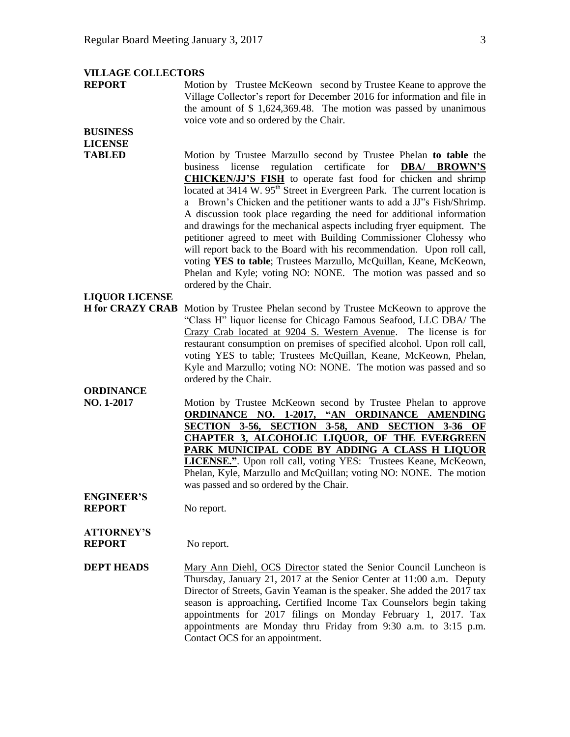#### **VILLAGE COLLECTORS**

**REPORT** Motion by Trustee McKeown second by Trustee Keane to approve the Village Collector's report for December 2016 for information and file in the amount of \$ 1,624,369.48. The motion was passed by unanimous voice vote and so ordered by the Chair.

## **BUSINESS LICENSE**

**TABLED** Motion by Trustee Marzullo second by Trustee Phelan **to table** the business license regulation certificate for **DBA/ BROWN'S CHICKEN/JJ'S FISH** to operate fast food for chicken and shrimp located at 3414 W. 95<sup>th</sup> Street in Evergreen Park. The current location is a Brown's Chicken and the petitioner wants to add a JJ"s Fish/Shrimp. A discussion took place regarding the need for additional information and drawings for the mechanical aspects including fryer equipment. The petitioner agreed to meet with Building Commissioner Clohessy who will report back to the Board with his recommendation. Upon roll call, voting **YES to table**; Trustees Marzullo, McQuillan, Keane, McKeown, Phelan and Kyle; voting NO: NONE. The motion was passed and so ordered by the Chair.

## **LIQUOR LICENSE**

**H for CRAZY CRAB** Motion by Trustee Phelan second by Trustee McKeown to approve the "Class H" liquor license for Chicago Famous Seafood, LLC DBA/ The Crazy Crab located at 9204 S. Western Avenue. The license is for restaurant consumption on premises of specified alcohol. Upon roll call, voting YES to table; Trustees McQuillan, Keane, McKeown, Phelan, Kyle and Marzullo; voting NO: NONE. The motion was passed and so ordered by the Chair.

## **ORDINANCE**

**NO. 1-2017** Motion by Trustee McKeown second by Trustee Phelan to approve **ORDINANCE NO. 1-2017, "AN ORDINANCE AMENDING SECTION 3-56, SECTION 3-58, AND SECTION 3-36 OF CHAPTER 3, ALCOHOLIC LIQUOR, OF THE EVERGREEN PARK MUNICIPAL CODE BY ADDING A CLASS H LIQUOR LICENSE."**. Upon roll call, voting YES: Trustees Keane, McKeown, Phelan, Kyle, Marzullo and McQuillan; voting NO: NONE. The motion was passed and so ordered by the Chair.

#### **ENGINEER'S REPORT** No report.

# **ATTORNEY'S**

**REPORT** No report.

**DEPT HEADS** Mary Ann Diehl, OCS Director stated the Senior Council Luncheon is Thursday, January 21, 2017 at the Senior Center at 11:00 a.m. Deputy Director of Streets, Gavin Yeaman is the speaker. She added the 2017 tax season is approaching**.** Certified Income Tax Counselors begin taking appointments for 2017 filings on Monday February 1, 2017. Tax appointments are Monday thru Friday from 9:30 a.m. to 3:15 p.m. Contact OCS for an appointment.